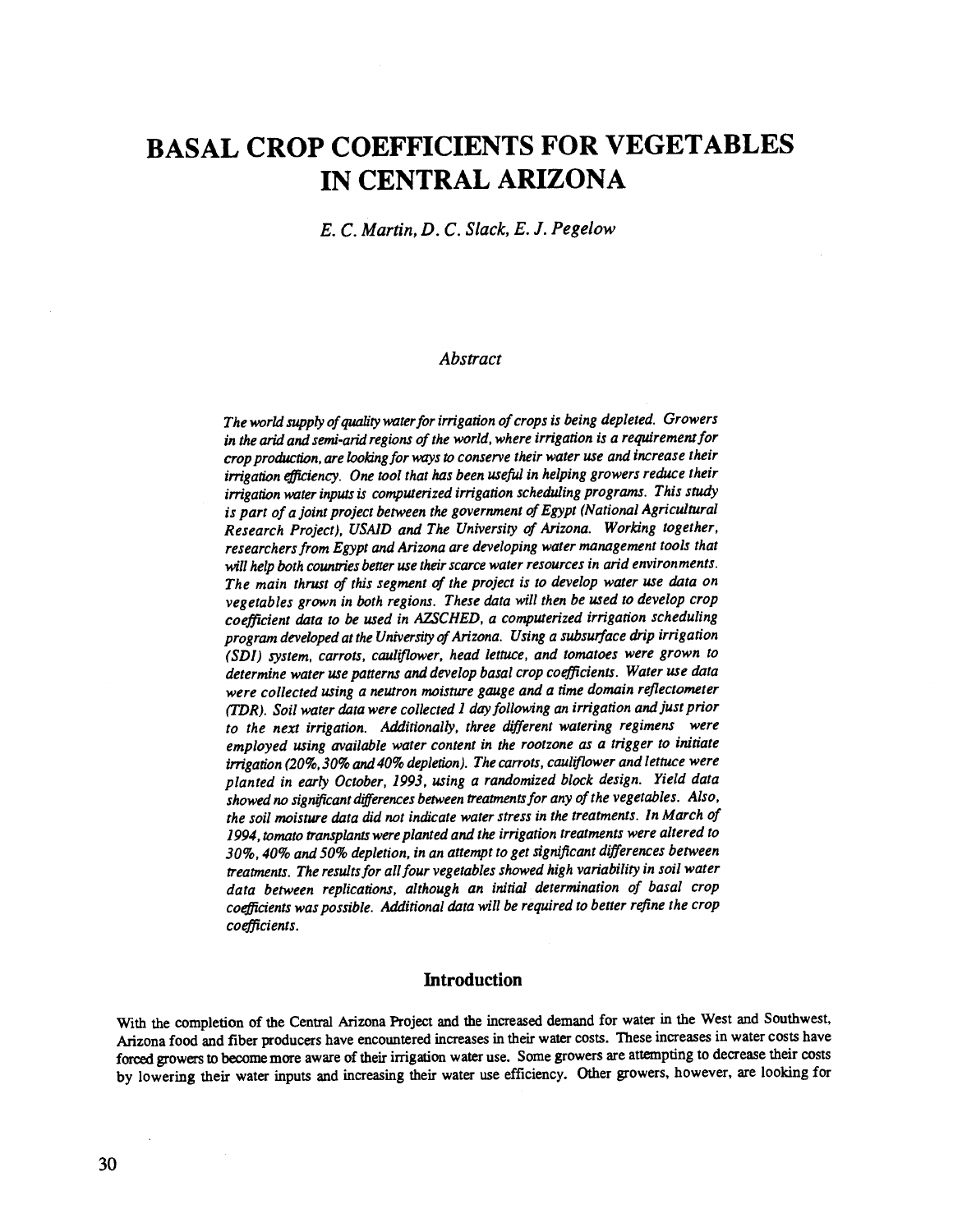# BASAL CROP COEFFICIENTS FOR VEGETABLES IN CENTRAL ARIZONA

E. C. Martin, D. C. Slack, E. J. Pegelow

## Abstract

The world supply of quality water for irrigation of crops is being depleted. Growers in the arid and semi-arid regions of the world, where irrigation is a requirement for crop production, are looking for ways to conserve their water use and increase their irrigation efficiency. One tool that has been useful in helping growers reduce their irrigation water inputs is computerized irrigation scheduling programs. This study is part of a joint project between the government of Egypt (National Agricultural Research Project), USA1D and The University of Arizona. Working together, researchers from Egypt and Arizona are developing water management tools that will help both countries better use their scarce water resources in arid environments. The main thrust of this segment of the project is to develop water use data on vegetables grown in both regions. These data will then be used to develop crop coefficient data to be used in AZSCHED, a computerized irrigation scheduling program developed at the University of Arizona. Using a subsurface drip irrigation (SDI) system, carrots, cauliflower, head lettuce, and tomatoes were grown to determine water use patterns and develop basal crop coefficients. Water use data were collected using a neutron moisture gauge and a time domain reflectometer (TDR). Soil water data were collected 1 day following an irrigation and just prior to the next irrigation. Additionally, three different watering regimens were employed using available water content in the rootzone as a trigger to initiate irrigation (20%, 30% and 40% depletion). The carrots, cauliflower and lettuce were planted in early October, 1993, using a randomized block design. Yield data showed no significant differences between treatments for any of the vegetables. Also, the soil moisture data did not indicate water stress in the treatments. In March of 1994, tomato transplants were planted and the irrigation treatments were altered to 30 %, 40% and 50% depletion, in an attempt to get significant differences between treatments. The results for all four vegetables showed high variability in soil water data between replications, although an initial determination of basal crop coefficients was possible. Additional data will be required to better refine the crop coefficients.

# **Introduction**

With the completion of the Central Arizona Project and the increased demand for water in the West and Southwest, Arizona food and fiber producers have encountered increases in their water costs. These increases in water costs have forced growers to become more aware of their irrigation water use. Some growers are attempting to decrease their costs by lowering their water inputs and increasing their water use efficiency. Other growers, however, are looking for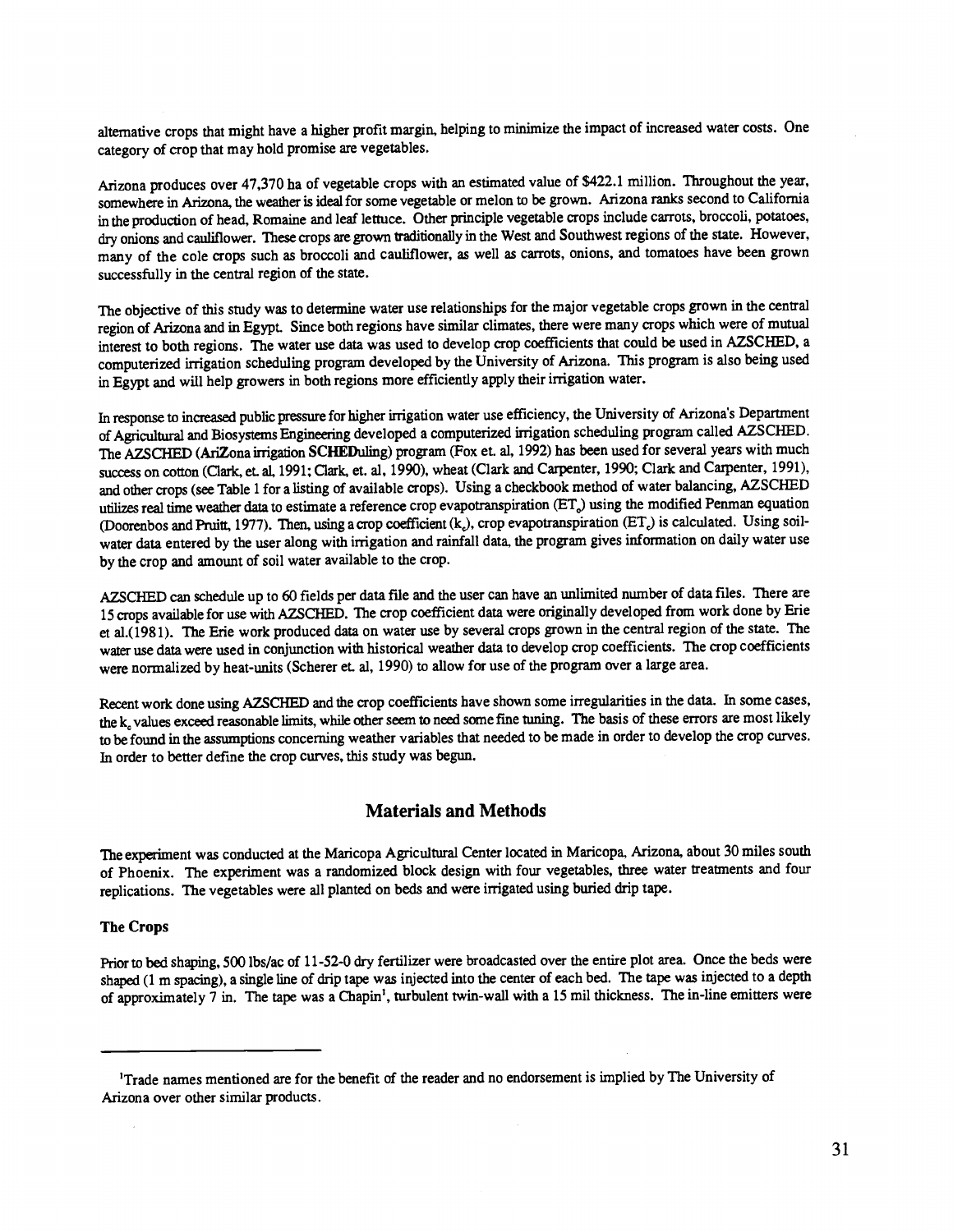alternative crops that might have a higher profit margin, helping to minimize the impact of increased water costs. One category of crop that may hold promise are vegetables.

Arizona produces over 47,370 ha of vegetable crops with an estimated value of \$422.1 million. Throughout the year, somewhere in Arizona, the weather is ideal for some vegetable or melon to be grown. Arizona ranks second to California in the production of head, Romaine and leaf lettuce. Other principle vegetable crops include carrots, broccoli, potatoes, dry onions and cauliflower. These crops are grown traditionally in the West and Southwest regions of the state. However, many of the cole crops such as broccoli and cauliflower, as well as carrots, onions, and tomatoes have been grown successfully in the central region of the state.

The objective of this study was to determine water use relationships for the major vegetable crops grown in the central region of Arizona and in Egypt. Since both regions have similar climates, there were many crops which were of mutual interest to both regions. The water use data was used to develop crop coefficients that could be usedin AZSCHED, a computerized irrigation scheduling program developed by the University of Arizona. This program is also being used in Egypt and will help growers in both regions more efficiently apply their irrigation water.

In response to increased public pressure for higher irrigation water use efficiency, the University of Arizona's Department of Agricultural and Biosystems Engineering developed a computerized irrigation scheduling program called AZSCHED. The AZSCHED (AriZona irrigation SCHEDuling) program (Fox et. al, 1992) has been used for several years with much success on cotton (Clark, et. al, 1991; Clark, et. al, 1990), wheat (Clark and Carpenter, 1990; Clark and Carpenter, 1991), and other crops (see Table 1 for a listing of available crops). Using a checkbook method of water balancing, AZSCHED utilizes real time weather data to estimate a reference crop evapotranspiration (ET<sub>a</sub>) using the modified Penman equation (Doorenbos and Pruitt, 1977). Then, using a crop coefficient (k<sub>c</sub>), crop evapotranspiration (ET<sub>c</sub>) is calculated. Using soilwater data entered by the user along with irrigation and rainfall data, the program gives information on daily water use by the crop and amount of soil water available to the crop.

AZSCHED can schedule up to 60 fields per data file and the user can have an unlimited number of data files. There are 15 crops available for use with AZSCHED. The crop coefficient data were originally developed from work done by Erie et aí.(1981). The Erie work produced data on water use by several crops grown in the central region of the state. The water use data were used in conjunction with historical weather data to develop crop coefficients. The crop coefficients were normalized by heat-units (Scherer et. al, 1990) to allow for use of the program over a large area.

Recent work done using AZSCHED and the crop coefficients have shown some irregularities in the data. In some cases, the k, values exceed reasonable limits, while other seem to need some fine tuning. The basis of these errors are most likely to be found in the assumptions concerning weather variables that needed to be made in order to develop the crop curves. In order to better define the crop curves, this study was begun.

# Materials and Methods

The experiment was conducted at the Maricopa Agricultural Center located in Maricopa, Arizona, about 30 miles south of Phoenix. The experiment was a randomized block design with four vegetables, three water treatments and four replications. The vegetables were all planted on beds and were irrigated using buried drip tape.

## The Crops

Prior to bed shaping, 500 lbs/ac of 11-52-0 dry fertilizer were broadcasted over the entire plot area. Once the beds were shaped (1 m spacing), a single line of drip tape was injected into the center of each bed. The tape was injected to a depth of approximately 7 in. The tape was a Chapin', turbulent twin -wall with a 15 mil thickness. The in -line emitters were

<sup>&#</sup>x27;Trade names mentioned are for the benefit of the reader and no endorsement is implied by The University of Arizona over other similar products.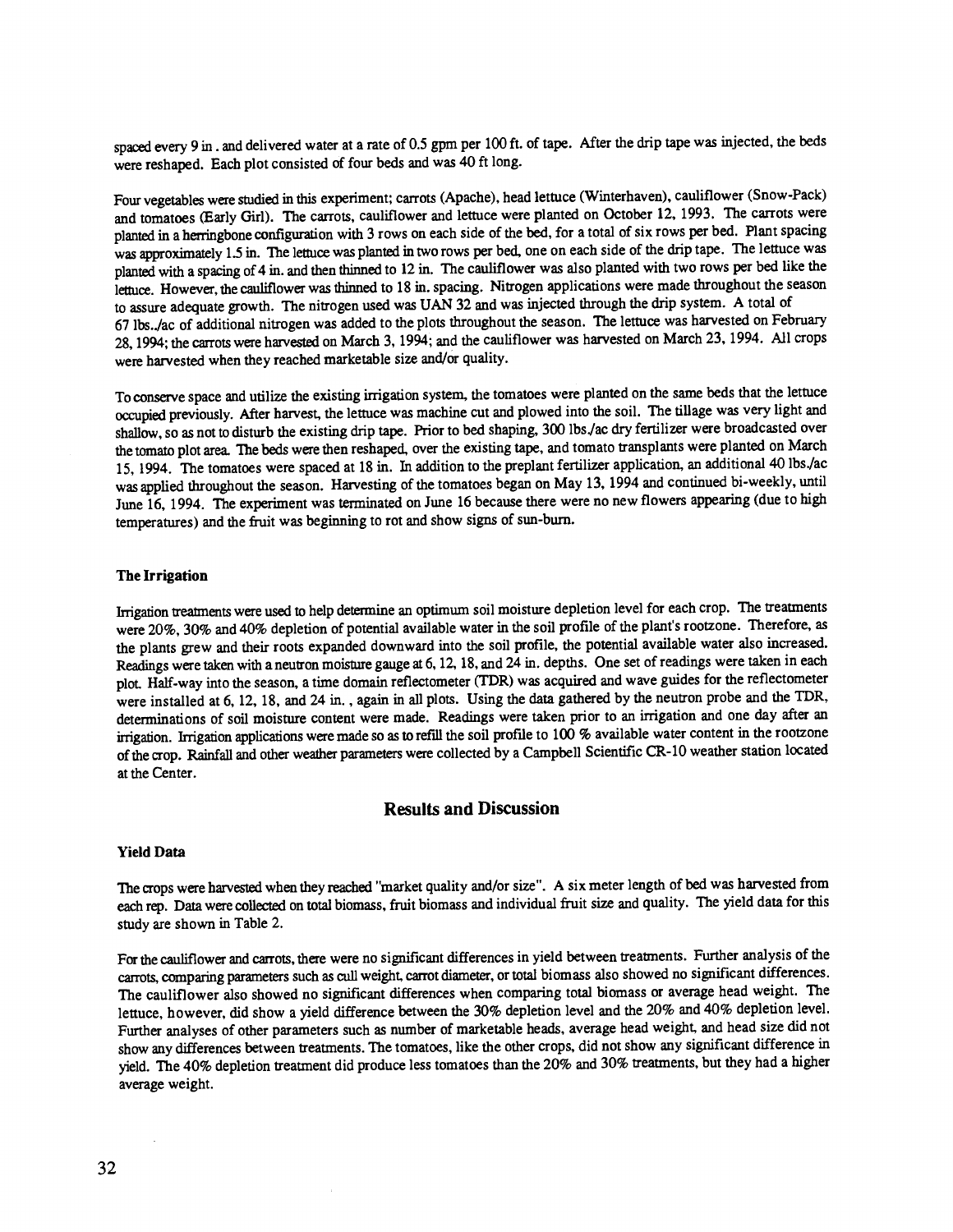spaced every 9 in . and delivered water at a rate of 0.5 gpm per 100 ft. of tape. After the drip tape was injected, the beds were reshaped. Each plot consisted of four beds and was 40 ft long.

Four vegetables were studied in this experiment; carrots (Apache), head lettuce (Winterhaven), cauliflower (Snow -Pack) and tomatoes (Early Girl). The carrots, cauliflower and lettuce were planted on October 12, 1993. The carrots were planted in a herringbone configuration with 3 rows on each side of the bed, for a total of six rows per bed. Plant spacing was approximately 1.5 in. The lettuce was planted in two rows per bed, one on each side of the drip tape. The lettuce was planted with a spacing of 4 in. and then thinned to 12 in. The cauliflower was also planted with two rows per bed like the lettuce. However, the cauliflower was thinned to 18 in. spacing. Nitrogen applications were made throughout the season to assure adequate growth. The nitrogen used was UAN 32 and was injected through the drip system. A total of 67 lbs.. /ac of additional nitrogen was added to the plots throughout the season. The lettuce was harvested on February 28, 1994; the carrots were harvested on March 3, 1994; and the cauliflower was harvested on March 23, 1994. All crops were harvested when they reached marketable size and/or quality.

To conserve space and utilize the existing irrigation system, the tomatoes were planted on the same beds that the lettuce occupied previously. After harvest, the lettuce was machine cut and plowed into the soil. The tillage was very light and shallow, so as not to disturb the existing drip tape. Prior to bed shaping, 300 lbs. /ac dry fertilizer were broadcasted over the tomato plot area. The beds were then reshaped, over the existing tape, and tomato transplants were planted on March 15, 1994. The tomatoes were spaced at 18 in. In addition to the preplant fertilizer application, an additional 40 lbs. /ac was applied throughout the season. Harvesting of the tomatoes began on May 13, 1994 and continued bi-weekly, until June 16, 1994. The experiment was terminated on June 16 because there were no new flowers appearing (due to high temperatures) and the fruit was beginning to rot and show signs of sun -burn.

## The Irrigation

Irrigation treatments were used to help determine an optimum soil moisture depletion level for each crop. The treatments were 20%, 30% and 40% depletion of potential available water in the soil profile of the plant's rootzone. Therefore, as the plants grew and their roots expanded downward into the soil profile, the potential available water also increased. Readings were taken with a neutron moisture gauge at 6,12,18, and 24 in. depths. One set of readings were taken in each plot. Half-way into the season, a time domain reflectometer (TDR) was acquired and wave guides for the reflectometer were installed at 6, 12, 18, and 24 in., again in all plots. Using the data gathered by the neutron probe and the TDR, determinations of soil moisture content were made. Readings were taken prior to an irrigation and one dayafter an irrigation. Irrigation applications were made so as to refill the soil profile to 100 % available water content in the rootzone of the crop. Rainfall and other weather parameters were collected by a Campbell Scientific CR -10 weather station located at the Center.

# Results and Discussion

#### Yield Data

The crops were harvested when they reached "market quality and /or size ". A six meter length of bed was harvested from each rep. Data were collected on total biomass, fruit biomass and individual fruit size and quality. The yield data for this study are shown in Table 2.

For the cauliflower and carrots, there were no significant differences in yield between treatments. Further analysis of the carrots, comparing parameters such as cull weight, carrot diameter, or total biomass also showed nosignificant differences. The cauliflower also showed no significant differences when comparing total biomass or average head weight. The lettuce, however, did show a yield difference between the 30% depletion level and the 20% and 40% depletion level. Further analyses of other parameters such as number of marketable heads, average head weight, and head size did not show any differences between treatments. The tomatoes, like the other crops, did not show any significant difference in yield. The 40% depletion treatment did produce less tomatoes than the 20% and 30% treatments, but they had a higher average weight.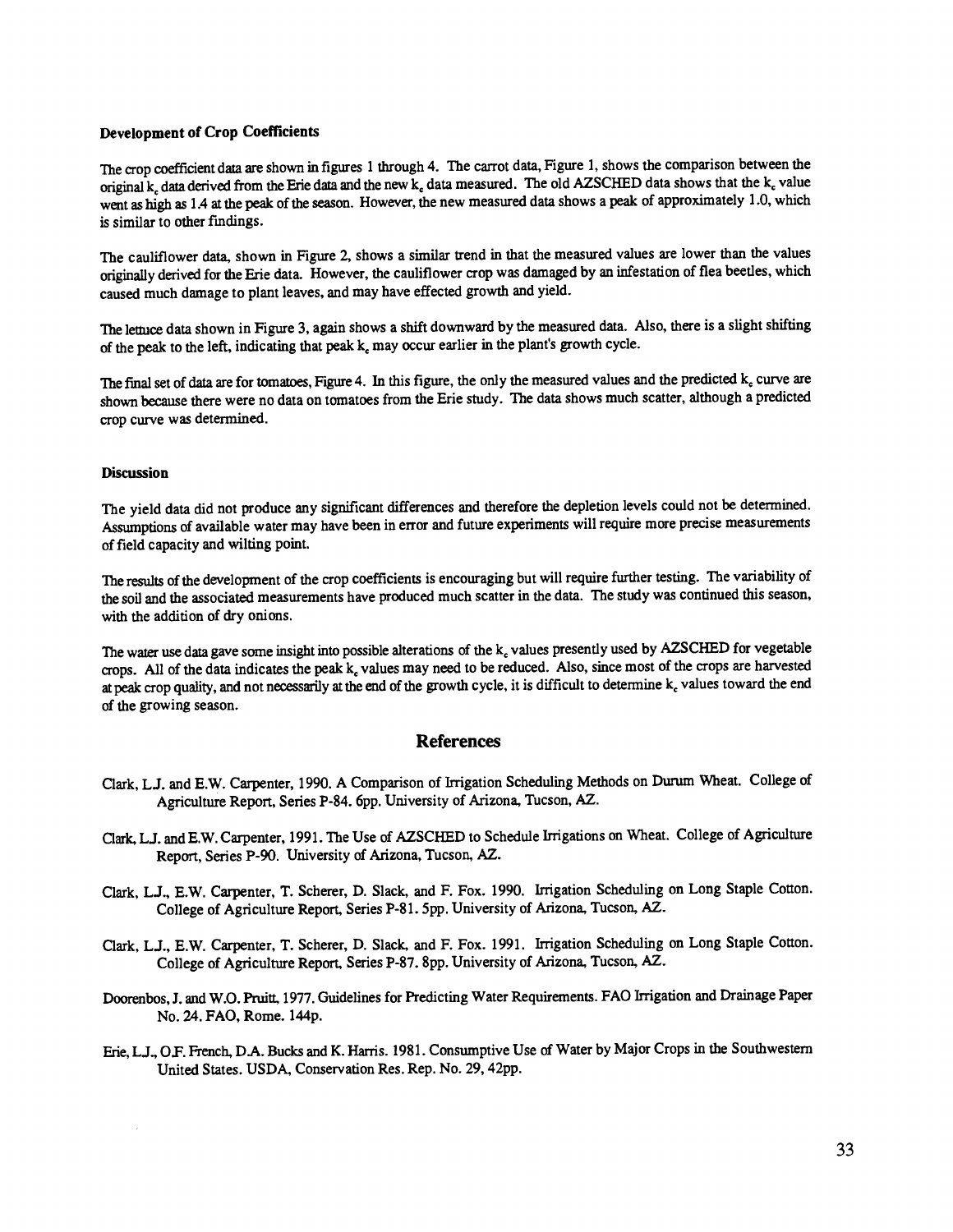## Development of Crop Coefficients

The crop coefficient data are shown in figures 1 through 4. The carrot data, Figure 1, shows the comparison between the original  $k_c$  data derived from the Erie data and the new  $k_c$  data measured. The old AZSCHED data shows that the  $k_c$  value went as high as 1.4 at the peak of the season. However, the new measured data shows a peak of approximately 1.0, which is similar to other findings.

The cauliflower data, shown in Figure 2, shows a similar trend in that the measured values are lower than the values originally derived for the Erie data. However, the cauliflower crop was damaged by an infestation of flea beetles, which caused much damage to plant leaves, and may have effected growth and yield.

The lettuce data shown in Figure 3, again shows a shift downward by the measured data. Also, there is a slight shifting of the peak to the left, indicating that peak  $k_c$  may occur earlier in the plant's growth cycle.

The final set of data are for tomatoes, Figure 4. In this figure, the only the measured values and the predicted  $k_c$  curve are shown because there were no data on tomatoes from the Erie study. The data shows much scatter, although a predicted crop curve was determined.

## **Discussion**

The yield data did not produce any significant differences and therefore the depletion levels could not be determined. Assumptions of available water may have been in error and future experiments will require more precise measurements of field capacity and wilting point.

The results of the development of the crop coefficients is encouraging but will require further testing. The variability of the soil and the associated measurements have produced much scatter in the data. The study was continued this season, with the addition of dry onions.

The water use data gave some insight into possible alterations of the k values presently used by AZSCHED for vegetable crops. All of the data indicates the peak  $k_c$  values may need to be reduced. Also, since most of the crops are harvested at peak crop quality, and not necessarily at the end of the growth cycle, it is difficult to determine  $k_c$  values toward the end of the growing season.

# References

- Clark, LJ. and E.W. Carpenter, 1990. A Comparison of Irrigation Scheduling Methods on Durum Wheat. College of Agriculture Report, Series P-84. 6pp. University of Arizona, Tucson, AZ.
- Clark, L.J. and E.W. Carpenter, 1991. The Use of AZSCHED to Schedule Irrigations on Wheat. College of Agriculture Report, Series P-90. University of Arizona, Tucson, AZ.
- Clark, LJ., E.W. Carpenter, T. Scherer, D. Slack, and F. Fox. 1990. Irrigation Scheduling on Long Staple Cotton. College of Agriculture Report, Series P-81. 5pp. University of Arizona, Tucson, AZ.
- Clark, LJ., E.W. Carpenter, T. Scherer, D. Slack, and F. Fox. 1991. Irrigation Scheduling on Long Staple Cotton. College of Agriculture Report, Series P-87. 8pp. University of Arizona, Tucson, AZ.
- Doorenbos, J. and W.O. Pruitt, 1977. Guidelines for Predicting Water Requirements. FAO Irrigation and Drainage Paper No. 24. FAO, Rome. 144p.
- Erie, LJ., OF. French, DA. Bucks and K. Harris. 1981. Consumptive Use of Water by Major Crops in the Southwestern United States. USDA, Conservation Res. Rep. No. 29, 42pp.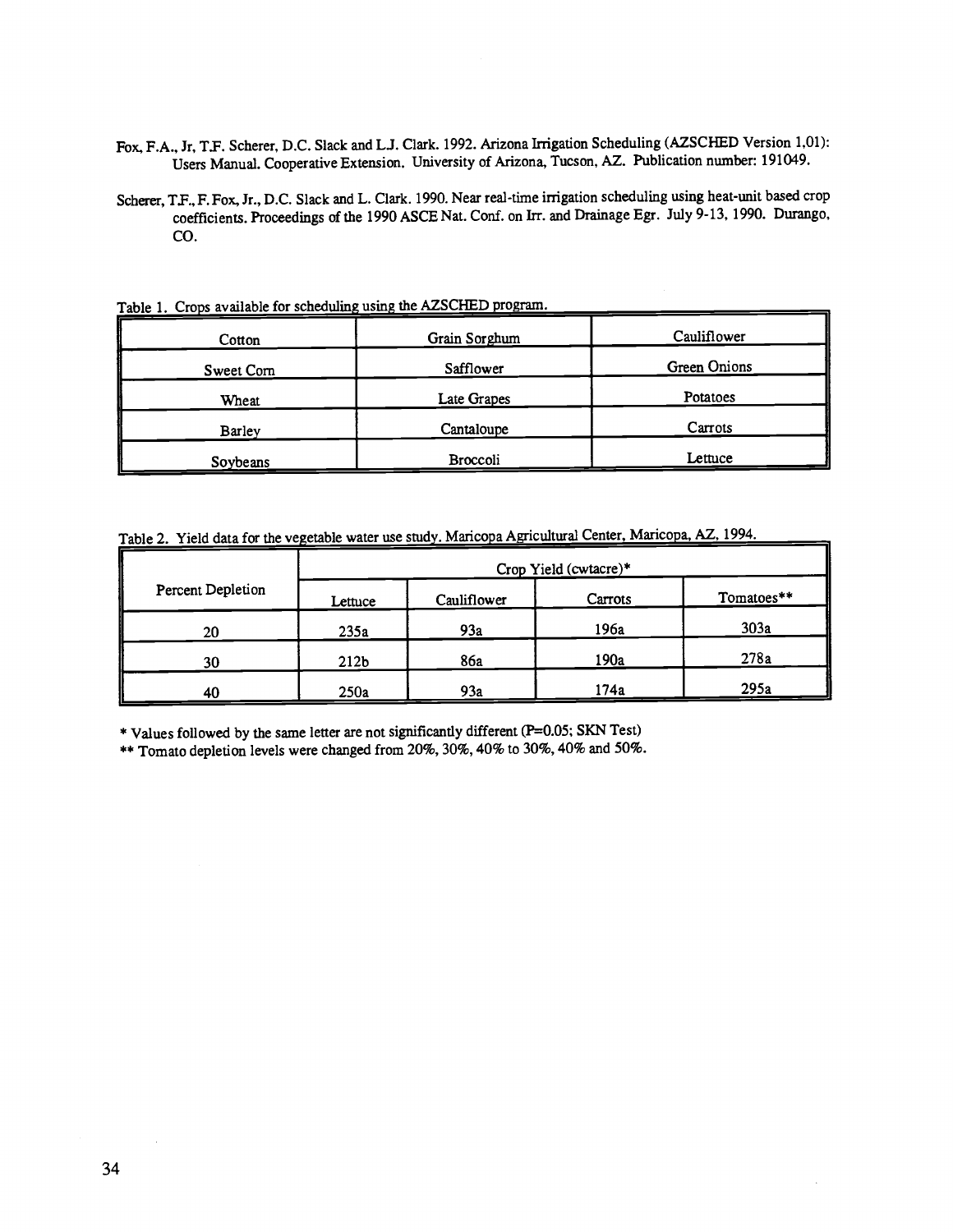- Fox, F.A., Jr, T.F. Scherer, D.C. Slack and L.J. Clark. 1992. Arizona Irrigation Scheduling (AZSCHED Version 1,01): Users Manual. Cooperative Extension. University of Arizona, Tucson, AZ. Publication number: 191049.
- Scherer, T.F., F. Fox, Jr., D.C. Slack and L. Clark. 1990. Near real-time irrigation scheduling using heat-unit based crop coefficients. Proceedings of the 1990 ASCE Nat. Conf. on Irr. and Drainage Egr. July 9 -13, 1990. Durango, CO.

Cotton Grain Sorghum Cauliflower Sweet Corn Safflower Green Onions Wheat Late Grapes Late Grapes Potatoes Barley Cantaloupe Cantaloupe Carrots Soybeans Broccoli Broccoli Lettuce

Table 1. Crops available for scheduling using the AZSCHED program.

Table 2. Yield data for the vegetable water use study. Maricopa Agricultural Center, Maricopa, AZ, 1994.

| Percent Depletion | Crop Yield (cwtacre)* |             |         |            |
|-------------------|-----------------------|-------------|---------|------------|
|                   | Lettuce               | Cauliflower | Carrots | Tomatoes** |
| 20                | 235a                  | 93a         | 196a    | 303a       |
| 30                | 212 <sub>b</sub>      | 86a         | 190a    | 278a       |
| 40                | 250a                  | 93a         | 174a    | 295a       |

\* Values followed by the same letter are not significantly different (P=0.05; SKN Test)

\*\* Tomato depletion levels were changed from 20%, 30%, 40% to 30%, 40% and 50%.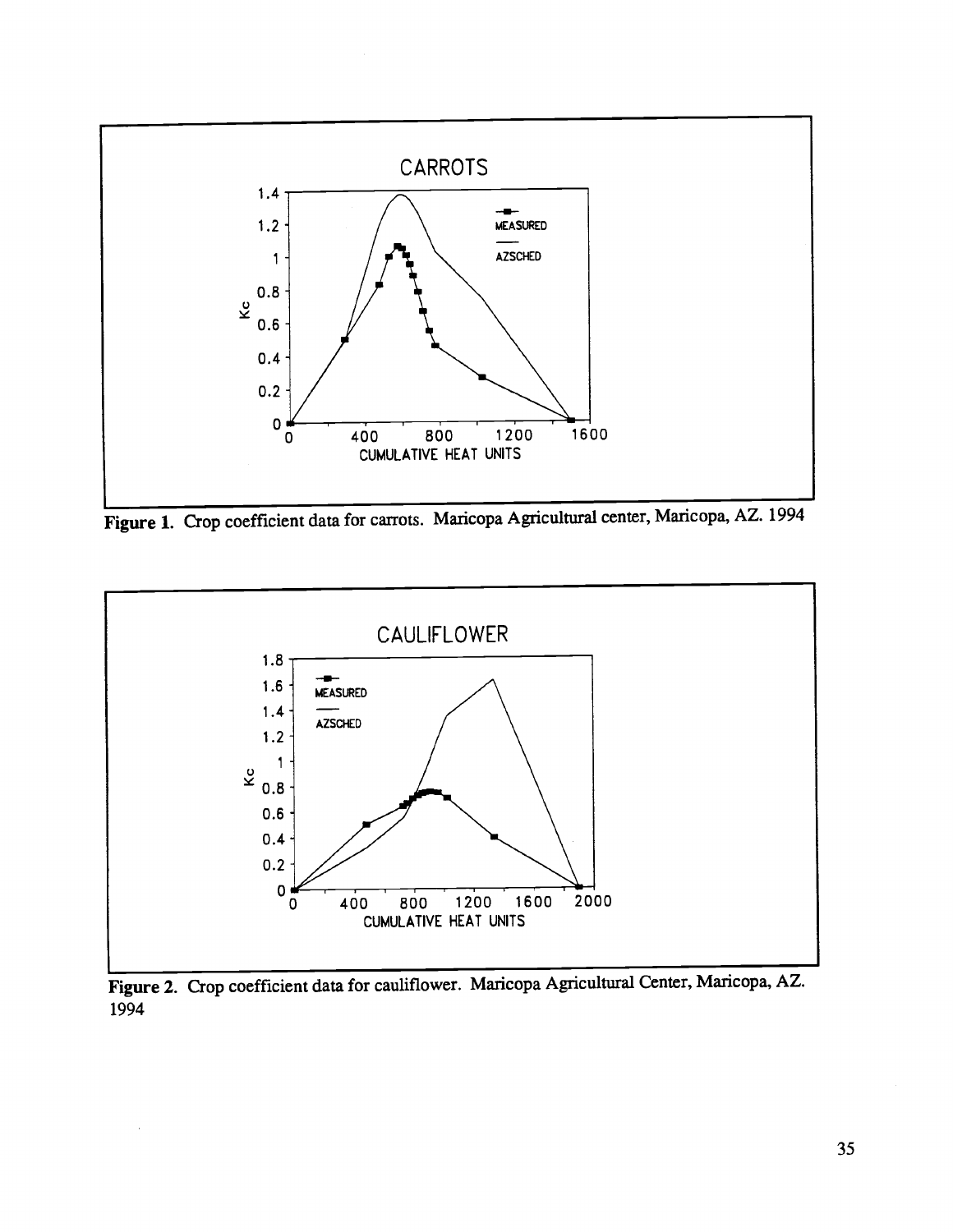

Figure 1. Crop coefficient data for carrots. Maricopa Agricultural center, Maricopa, AZ. 1994



Figure 2. Crop coefficient data for cauliflower. Maricopa Agricultural Center, Maricopa, AZ. 1994